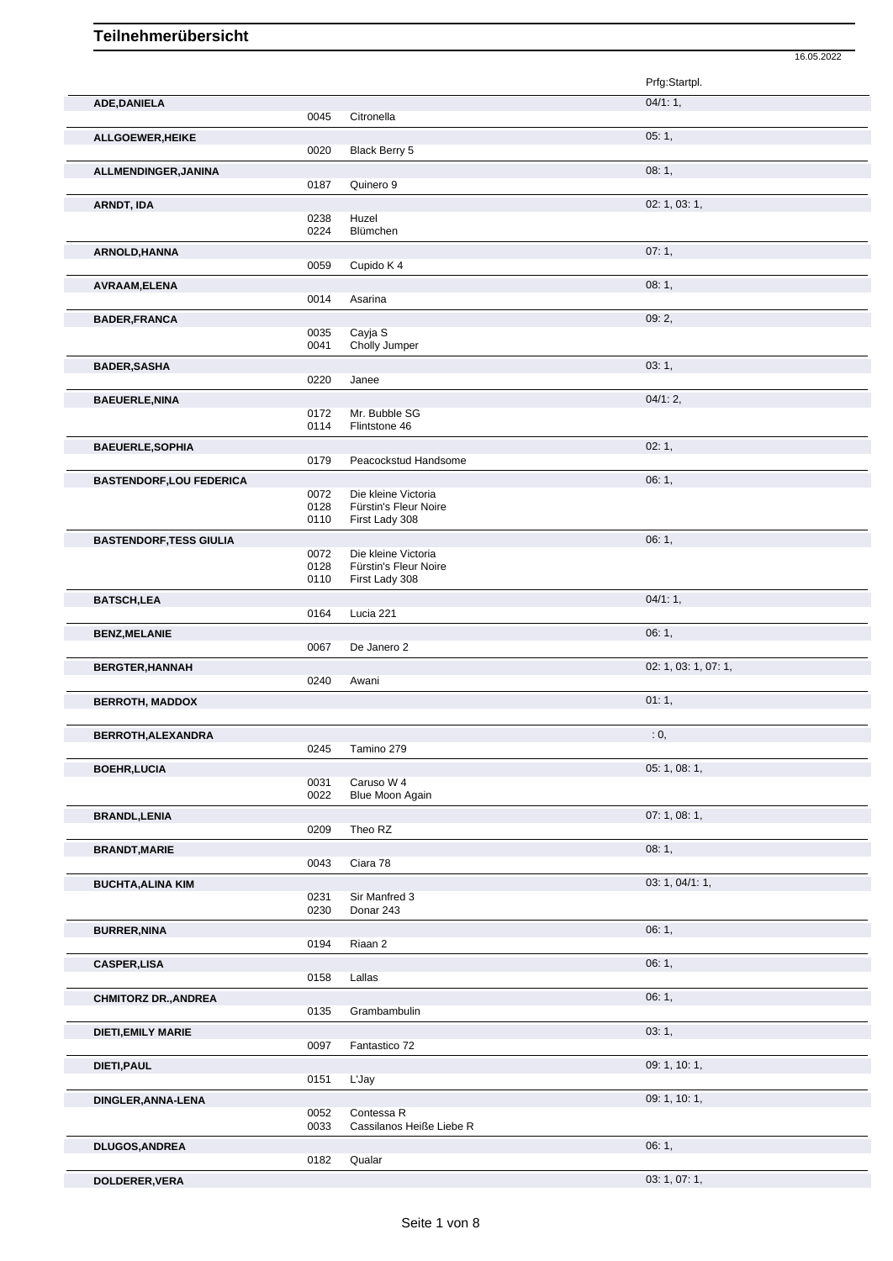|                                 |              |                                         | 16.05.2022           |
|---------------------------------|--------------|-----------------------------------------|----------------------|
|                                 |              |                                         | Prfg:Startpl.        |
|                                 |              |                                         | 04/1:1,              |
| ADE, DANIELA                    | 0045         | Citronella                              |                      |
| ALLGOEWER, HEIKE                |              |                                         | 05:1,                |
|                                 | 0020         | Black Berry 5                           |                      |
| ALLMENDINGER, JANINA            |              |                                         | 08:1,                |
|                                 | 0187         | Quinero 9                               |                      |
| ARNDT, IDA                      |              |                                         | 02: 1, 03: 1,        |
|                                 | 0238         | Huzel                                   |                      |
|                                 | 0224         | Blümchen                                |                      |
| ARNOLD, HANNA                   |              |                                         | 07:1,                |
|                                 | 0059         | Cupido K 4                              |                      |
| AVRAAM, ELENA                   |              |                                         | 08:1,                |
|                                 | 0014         | Asarina                                 |                      |
| <b>BADER, FRANCA</b>            |              |                                         | 09:2,                |
|                                 | 0035         | Cayja S                                 |                      |
|                                 | 0041         | Cholly Jumper                           |                      |
| <b>BADER, SASHA</b>             |              |                                         | 03:1,                |
|                                 | 0220         | Janee                                   |                      |
| <b>BAEUERLE, NINA</b>           |              |                                         | 04/1:2,              |
|                                 | 0172         | Mr. Bubble SG                           |                      |
|                                 | 0114         | Flintstone 46                           |                      |
| <b>BAEUERLE, SOPHIA</b>         |              |                                         | 02:1,                |
|                                 | 0179         | Peacockstud Handsome                    |                      |
| <b>BASTENDORF, LOU FEDERICA</b> |              |                                         | 06:1,                |
|                                 | 0072         | Die kleine Victoria                     |                      |
|                                 | 0128<br>0110 | Fürstin's Fleur Noire<br>First Lady 308 |                      |
|                                 |              |                                         | 06:1,                |
| <b>BASTENDORF, TESS GIULIA</b>  | 0072         | Die kleine Victoria                     |                      |
|                                 | 0128         | Fürstin's Fleur Noire                   |                      |
|                                 | 0110         | First Lady 308                          |                      |
| <b>BATSCH,LEA</b>               |              |                                         | 04/1:1,              |
|                                 | 0164         | Lucia 221                               |                      |
| <b>BENZ, MELANIE</b>            |              |                                         | 06:1,                |
|                                 | 0067         | De Janero 2                             |                      |
| <b>BERGTER, HANNAH</b>          |              |                                         | 02: 1, 03: 1, 07: 1, |
|                                 | 0240         | Awani                                   |                      |
| <b>BERROTH, MADDOX</b>          |              |                                         | 01:1,                |
|                                 |              |                                         |                      |
| BERROTH, ALEXANDRA              |              |                                         | : 0,                 |
|                                 | 0245         | Tamino 279                              |                      |
| <b>BOEHR, LUCIA</b>             |              |                                         | 05: 1, 08: 1,        |
|                                 | 0031         | Caruso W 4                              |                      |
|                                 | 0022         | Blue Moon Again                         |                      |
| <b>BRANDL, LENIA</b>            |              |                                         | 07: 1, 08: 1,        |
|                                 | 0209         | Theo RZ                                 |                      |
| <b>BRANDT, MARIE</b>            |              |                                         | 08:1,                |
|                                 | 0043         | Ciara 78                                |                      |
| <b>BUCHTA, ALINA KIM</b>        |              |                                         | 03: 1, 04/1: 1,      |
|                                 | 0231         | Sir Manfred 3                           |                      |
|                                 | 0230         | Donar 243                               |                      |
| <b>BURRER, NINA</b>             |              |                                         | 06:1,                |
|                                 | 0194         | Riaan 2                                 |                      |
| <b>CASPER,LISA</b>              |              |                                         | 06:1,                |
|                                 | 0158         | Lallas                                  |                      |
| <b>CHMITORZ DR., ANDREA</b>     |              |                                         | 06:1,                |
|                                 | 0135         | Grambambulin                            |                      |
| DIETI, EMILY MARIE              |              |                                         | 03:1,                |
|                                 | 0097         | Fantastico 72                           |                      |
| DIETI, PAUL                     |              |                                         | 09: 1, 10: 1,        |
|                                 | 0151         | L'Jay                                   |                      |

0052 Contessa R

0033 Cassilanos Heiße Liebe R

**DINGLER,ANNA-LENA** 0052 Contessa R<br>
0052 Contessa R<br>
0033 Cassilanos Heiße Liebe R

**DOLDERER,VERA** 03: 1, 07: 1,

**DLUGOS,ANDREA** 06: 1, Qualar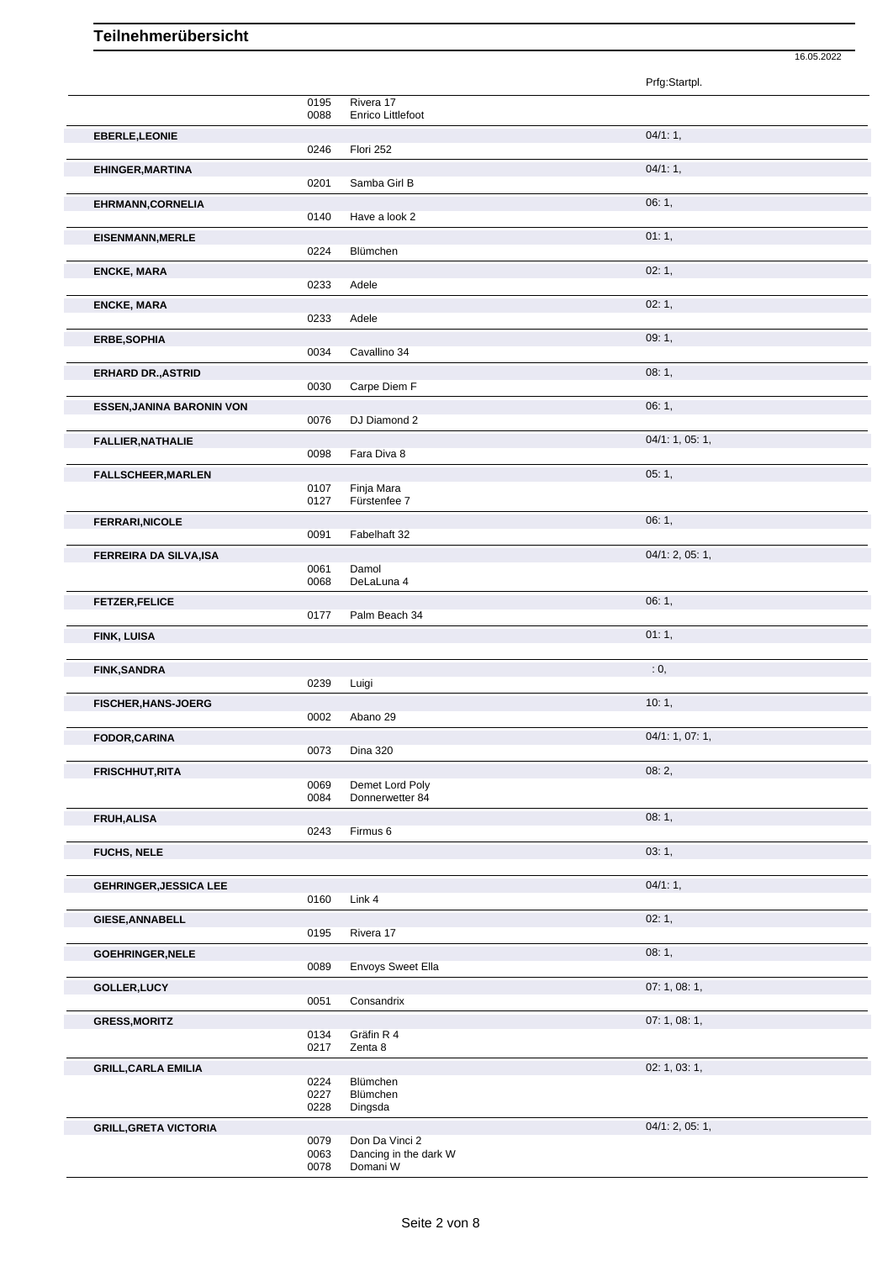|                                  |              |                                    | Prfg:Startpl.   |
|----------------------------------|--------------|------------------------------------|-----------------|
|                                  | 0195<br>0088 | Rivera 17<br>Enrico Littlefoot     |                 |
| <b>EBERLE, LEONIE</b>            | 0246         | Flori 252                          | 04/1:1,         |
| <b>EHINGER, MARTINA</b>          | 0201         | Samba Girl B                       | 04/1:1,         |
| EHRMANN, CORNELIA                | 0140         | Have a look 2                      | 06:1,           |
| <b>EISENMANN, MERLE</b>          |              |                                    | 01:1,           |
| <b>ENCKE, MARA</b>               | 0224         | <b>Blümchen</b>                    | 02:1,           |
|                                  | 0233         | Adele                              |                 |
| <b>ENCKE, MARA</b>               | 0233         | Adele                              | 02:1,           |
| <b>ERBE, SOPHIA</b>              | 0034         | Cavallino 34                       | 09:1,           |
| <b>ERHARD DR., ASTRID</b>        |              |                                    | 08:1,           |
| <b>ESSEN, JANINA BARONIN VON</b> | 0030         | Carpe Diem F                       | 06:1,           |
|                                  | 0076         | DJ Diamond 2                       |                 |
| <b>FALLIER, NATHALIE</b>         | 0098         | Fara Diva 8                        | 04/1: 1, 05: 1, |
| <b>FALLSCHEER, MARLEN</b>        |              | Finja Mara                         | 05:1,           |
|                                  | 0107<br>0127 | Fürstenfee 7                       |                 |
| <b>FERRARI, NICOLE</b>           | 0091         | Fabelhaft 32                       | 06: 1,          |
| FERREIRA DA SILVA, ISA           |              |                                    | 04/1: 2, 05: 1, |
|                                  | 0061<br>0068 | Damol<br>DeLaLuna 4                |                 |
| <b>FETZER, FELICE</b>            | 0177         | Palm Beach 34                      | 06:1,           |
|                                  |              |                                    | 01:1,           |
| FINK, LUISA                      |              |                                    |                 |
| <b>FINK, SANDRA</b>              |              |                                    | : 0,            |
|                                  | 0239         | Luigi                              |                 |
| FISCHER, HANS-JOERG              | 0002         | Abano 29                           | 10:1,           |
| FODOR, CARINA                    | 0073         | <b>Dina 320</b>                    | 04/1: 1, 07: 1, |
| <b>FRISCHHUT, RITA</b>           |              |                                    | 08:2,           |
|                                  | 0069<br>0084 | Demet Lord Poly<br>Donnerwetter 84 |                 |
| FRUH, ALISA                      | 0243         | Firmus 6                           | 08:1,           |
| <b>FUCHS, NELE</b>               |              |                                    | 03:1,           |
| <b>GEHRINGER, JESSICA LEE</b>    |              |                                    | 04/1:1,         |
|                                  | 0160         | Link 4                             |                 |
| <b>GIESE, ANNABELL</b>           | 0195         | Rivera 17                          | 02:1,           |
| <b>GOEHRINGER, NELE</b>          | 0089         | Envoys Sweet Ella                  | 08: 1,          |
| GOLLER, LUCY                     |              |                                    | 07: 1, 08: 1,   |
| <b>GRESS, MORITZ</b>             | 0051         | Consandrix                         | 07: 1, 08: 1,   |
|                                  | 0134<br>0217 | Gräfin R 4<br>Zenta 8              |                 |
| <b>GRILL, CARLA EMILIA</b>       |              |                                    | 02: 1, 03: 1,   |
|                                  | 0224<br>0227 | Blümchen<br>Blümchen               |                 |
| <b>GRILL, GRETA VICTORIA</b>     | 0228         | Dingsda                            | 04/1: 2, 05: 1, |

16.05.2022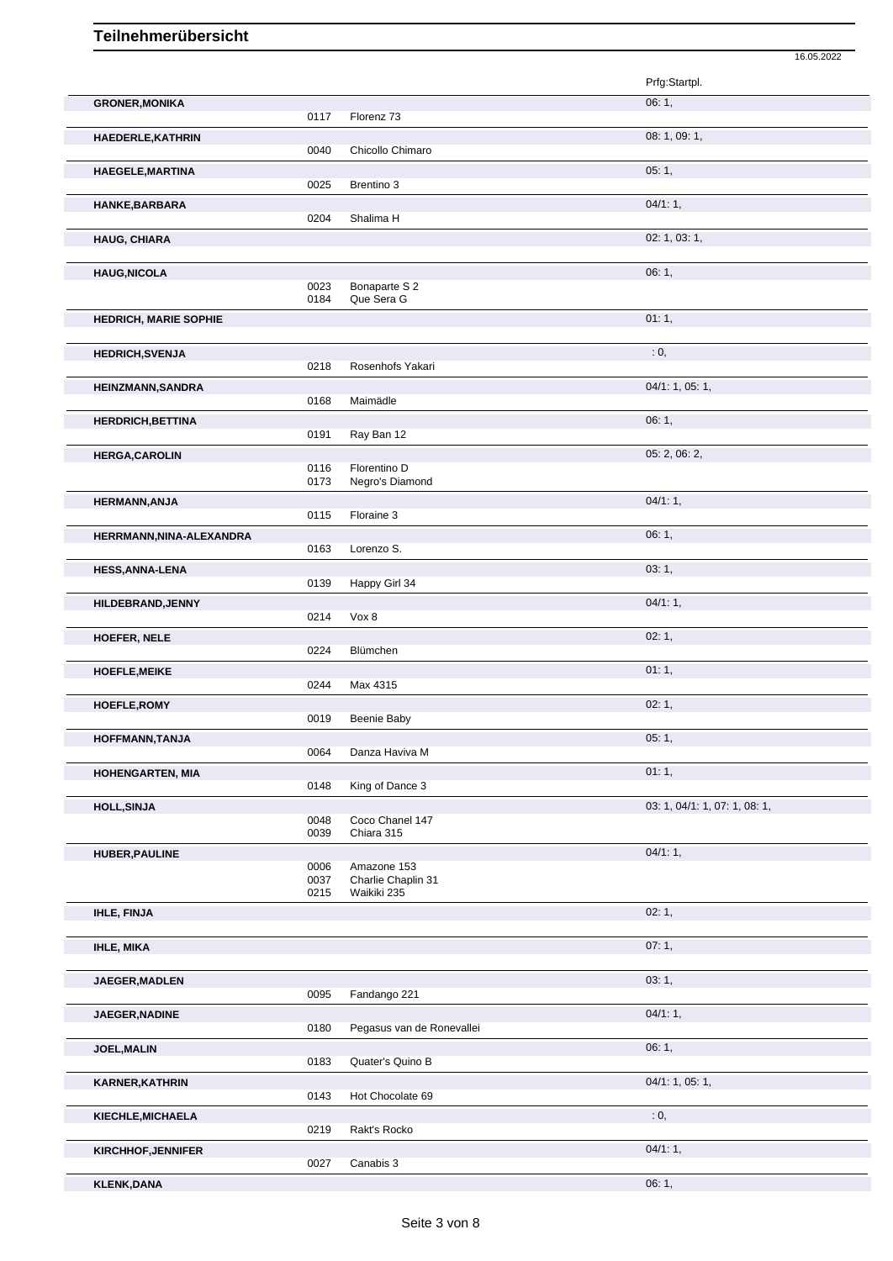|                              |              |                                   | 16.05.2022                    |
|------------------------------|--------------|-----------------------------------|-------------------------------|
|                              |              |                                   | Prfg:Startpl.                 |
| <b>GRONER, MONIKA</b>        |              |                                   | 06:1,                         |
| HAEDERLE, KATHRIN            | 0117         | Florenz 73                        | 08: 1, 09: 1,                 |
|                              | 0040         | Chicollo Chimaro                  |                               |
| HAEGELE, MARTINA             |              |                                   | 05:1,                         |
|                              | 0025         | Brentino 3                        |                               |
| HANKE, BARBARA               | 0204         | Shalima H                         | 04/1:1,                       |
| <b>HAUG, CHIARA</b>          |              |                                   | 02: 1, 03: 1,                 |
|                              |              |                                   |                               |
| <b>HAUG, NICOLA</b>          | 0023         | Bonaparte S 2                     | 06:1,                         |
|                              | 0184         | Que Sera G                        |                               |
| <b>HEDRICH, MARIE SOPHIE</b> |              |                                   | 01:1,                         |
| <b>HEDRICH, SVENJA</b>       |              |                                   | : 0,                          |
|                              | 0218         | Rosenhofs Yakari                  |                               |
| <b>HEINZMANN, SANDRA</b>     | 0168         | Maimädle                          | 04/1: 1, 05: 1,               |
| <b>HERDRICH, BETTINA</b>     |              |                                   | 06:1,                         |
|                              | 0191         | Ray Ban 12                        |                               |
| <b>HERGA, CAROLIN</b>        |              |                                   | 05: 2, 06: 2,                 |
|                              | 0116<br>0173 | Florentino D<br>Negro's Diamond   |                               |
| <b>HERMANN, ANJA</b>         |              |                                   | 04/1:1,                       |
|                              | 0115         | Floraine 3                        |                               |
| HERRMANN, NINA-ALEXANDRA     | 0163         | Lorenzo S.                        | 06:1,                         |
| <b>HESS, ANNA-LENA</b>       |              |                                   | 03:1,                         |
|                              | 0139         | Happy Girl 34                     |                               |
| HILDEBRAND, JENNY            | 0214         | Vox 8                             | 04/1:1,                       |
| <b>HOEFER, NELE</b>          |              |                                   | 02:1,                         |
|                              | 0224         | Blümchen                          |                               |
| <b>HOEFLE, MEIKE</b>         | 0244         | Max 4315                          | 01:1,                         |
| <b>HOEFLE, ROMY</b>          |              |                                   | 02:1,                         |
|                              | 0019         | Beenie Baby                       |                               |
| HOFFMANN, TANJA              |              |                                   | 05:1,                         |
|                              | 0064         | Danza Haviva M                    |                               |
| HOHENGARTEN, MIA             | 0148         | King of Dance 3                   | 01:1,                         |
| <b>HOLL, SINJA</b>           |              |                                   | 03: 1, 04/1: 1, 07: 1, 08: 1, |
|                              | 0048<br>0039 | Coco Chanel 147<br>Chiara 315     |                               |
| <b>HUBER, PAULINE</b>        |              |                                   | 04/1:1,                       |
|                              | 0006<br>0037 | Amazone 153<br>Charlie Chaplin 31 |                               |
|                              | 0215         | Waikiki 235                       |                               |
| IHLE, FINJA                  |              |                                   | 02:1,                         |
|                              |              |                                   | 07:1,                         |
| <b>IHLE, MIKA</b>            |              |                                   |                               |
| JAEGER, MADLEN               |              |                                   | 03:1,                         |
|                              | 0095         | Fandango 221                      |                               |
| JAEGER, NADINE               | 0180         | Pegasus van de Ronevallei         | 04/1:1,                       |
| JOEL, MALIN                  |              |                                   | 06:1,                         |
|                              | 0183         | Quater's Quino B                  |                               |
| <b>KARNER, KATHRIN</b>       | 0143         | Hot Chocolate 69                  | 04/1: 1, 05: 1,               |
| KIECHLE, MICHAELA            |              |                                   | : 0,                          |
|                              | 0219         | Rakt's Rocko                      |                               |
| <b>KIRCHHOF, JENNIFER</b>    |              |                                   | 04/1:1,                       |
|                              | 0027         | Canabis 3                         |                               |
| <b>KLENK,DANA</b>            |              |                                   | 06:1,                         |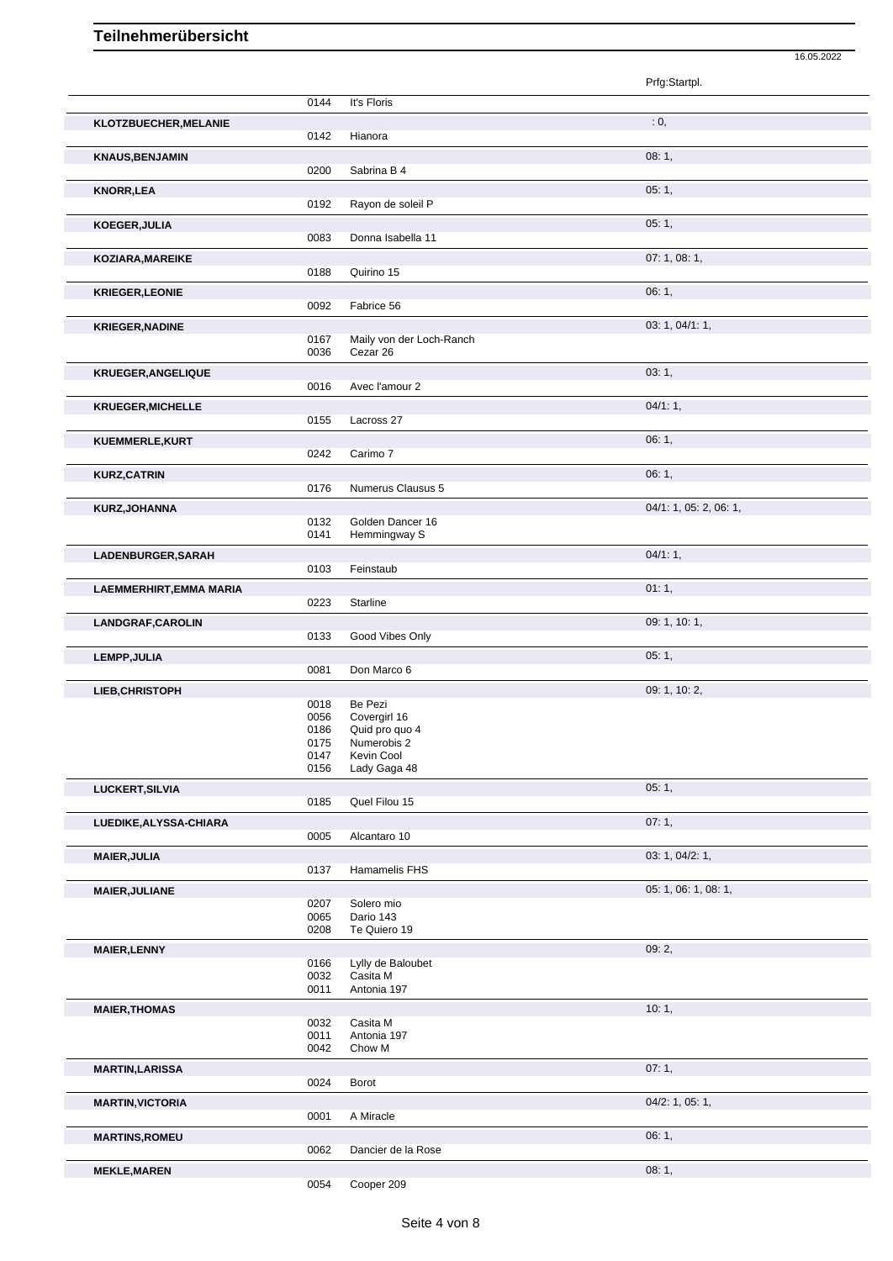|                          |              |                                  | 16.05.2022             |
|--------------------------|--------------|----------------------------------|------------------------|
|                          |              |                                  | Prfg:Startpl.          |
|                          | 0144         | It's Floris                      |                        |
| KLOTZBUECHER, MELANIE    |              |                                  | : 0,                   |
|                          | 0142         | Hianora                          |                        |
| <b>KNAUS, BENJAMIN</b>   |              |                                  | 08:1,                  |
|                          | 0200         | Sabrina B 4                      |                        |
| <b>KNORR, LEA</b>        | 0192         | Rayon de soleil P                | 05:1,                  |
|                          |              |                                  | 05:1,                  |
| KOEGER, JULIA            | 0083         | Donna Isabella 11                |                        |
| KOZIARA, MAREIKE         |              |                                  | 07:1,08:1,             |
|                          | 0188         | Quirino 15                       |                        |
| <b>KRIEGER, LEONIE</b>   |              |                                  | 06:1,                  |
|                          | 0092         | Fabrice 56                       |                        |
| <b>KRIEGER, NADINE</b>   |              |                                  | 03: 1, 04/1: 1,        |
|                          | 0167         | Maily von der Loch-Ranch         |                        |
|                          | 0036         | Cezar 26                         |                        |
| KRUEGER, ANGELIQUE       |              |                                  | 03:1,                  |
|                          | 0016         | Avec l'amour 2                   |                        |
| <b>KRUEGER, MICHELLE</b> |              |                                  | $04/1:1$ ,             |
|                          | 0155         | Lacross 27                       |                        |
| KUEMMERLE, KURT          |              |                                  | 06:1,                  |
|                          | 0242         | Carimo 7                         |                        |
| <b>KURZ, CATRIN</b>      |              |                                  | 06:1,                  |
|                          | 0176         | Numerus Clausus 5                |                        |
| KURZ, JOHANNA            |              |                                  | 04/1: 1, 05: 2, 06: 1, |
|                          | 0132<br>0141 | Golden Dancer 16<br>Hemmingway S |                        |
|                          |              |                                  |                        |
| LADENBURGER, SARAH       | 0103         | Feinstaub                        | 04/1:1,                |
|                          |              |                                  |                        |
| LAEMMERHIRT, EMMA MARIA  | 0223         | Starline                         | 01:1,                  |
|                          |              |                                  |                        |
| LANDGRAF, CAROLIN        | 0133         | Good Vibes Only                  | 09: 1, 10: 1,          |
|                          |              |                                  |                        |
| <b>LEMPP, JULIA</b>      | 0081         | Don Marco 6                      | 05:1,                  |
|                          |              |                                  | 09: 1, 10: 2,          |
| LIEB, CHRISTOPH          | 0018         | Be Pezi                          |                        |
|                          | 0056         | Covergirl 16                     |                        |
|                          | 0186         | Quid pro quo 4                   |                        |
|                          | 0175<br>0147 | Numerobis 2<br>Kevin Cool        |                        |
|                          | 0156         | Lady Gaga 48                     |                        |
| <b>LUCKERT, SILVIA</b>   |              |                                  | 05:1,                  |
|                          | 0185         | Quel Filou 15                    |                        |
| LUEDIKE, ALYSSA-CHIARA   |              |                                  | 07:1,                  |
|                          | 0005         | Alcantaro 10                     |                        |
| <b>MAIER, JULIA</b>      |              |                                  | 03: 1, 04/2: 1,        |
|                          | 0137         | Hamamelis FHS                    |                        |
| MAIER, JULIANE           |              |                                  | 05: 1, 06: 1, 08: 1,   |
|                          | 0207         | Solero mio                       |                        |
|                          | 0065<br>0208 | Dario 143<br>Te Quiero 19        |                        |
|                          |              |                                  |                        |
| <b>MAIER, LENNY</b>      | 0166         | Lylly de Baloubet                | 09:2,                  |
|                          | 0032         | Casita M                         |                        |
|                          | 0011         | Antonia 197                      |                        |
| <b>MAIER, THOMAS</b>     |              |                                  | 10:1,                  |
|                          | 0032         | Casita M                         |                        |
|                          | 0011<br>0042 | Antonia 197<br>Chow M            |                        |
|                          |              |                                  |                        |
| <b>MARTIN, LARISSA</b>   | 0024         | Borot                            | 07:1,                  |
|                          |              |                                  |                        |
| <b>MARTIN, VICTORIA</b>  | 0001         | A Miracle                        | 04/2: 1, 05: 1,        |
|                          |              |                                  | 06:1,                  |
| <b>MARTINS, ROMEU</b>    | 0062         | Dancier de la Rose               |                        |
|                          |              |                                  |                        |
| <b>MEKLE, MAREN</b>      |              |                                  | 08:1,                  |

0054 Cooper 209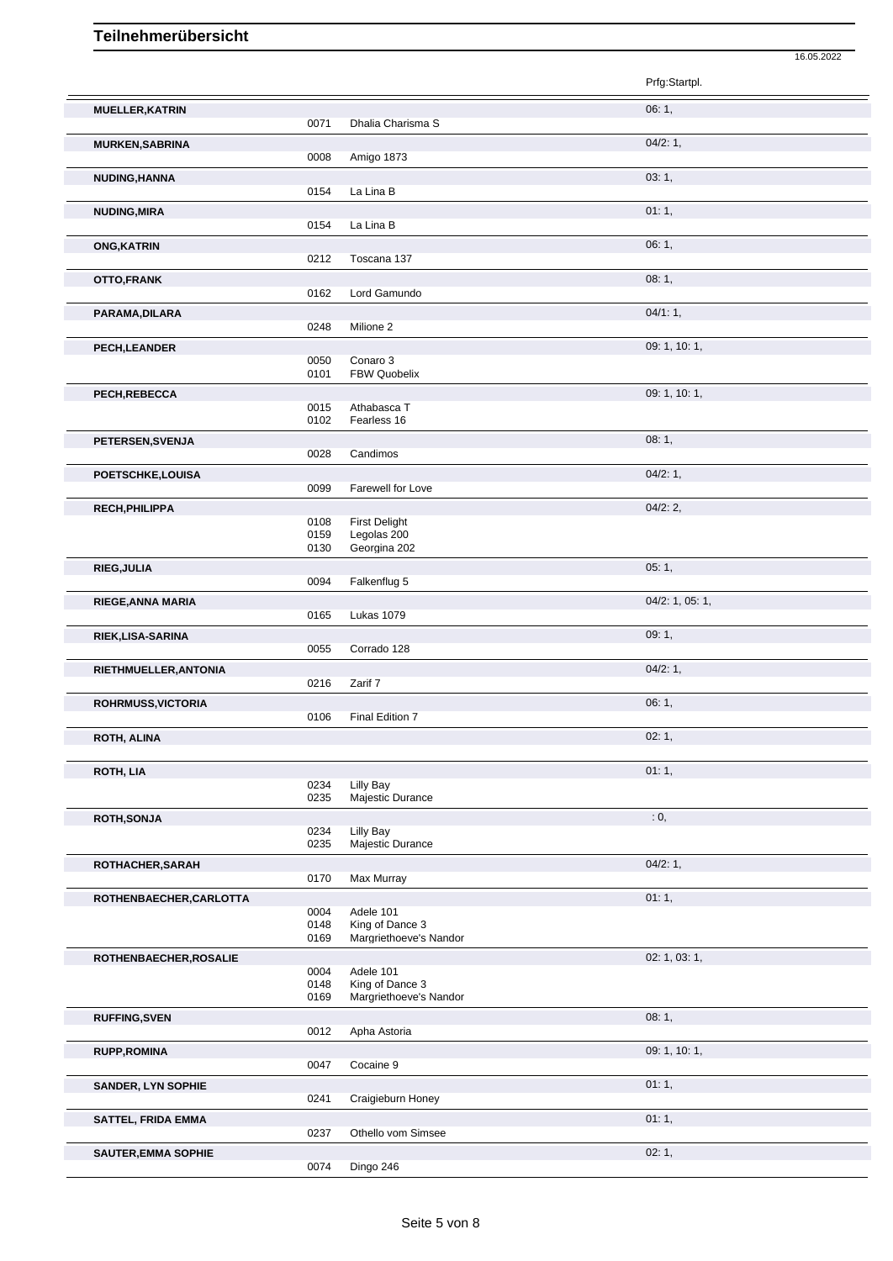|                           |              |                               | Prfg:Startpl.   |
|---------------------------|--------------|-------------------------------|-----------------|
| <b>MUELLER, KATRIN</b>    |              |                               | 06:1,           |
|                           | 0071         | Dhalia Charisma S             |                 |
| <b>MURKEN, SABRINA</b>    |              |                               | 04/2:1,         |
|                           | 0008         | Amigo 1873                    |                 |
| NUDING, HANNA             |              |                               | 03:1,           |
|                           | 0154         | La Lina B                     |                 |
| <b>NUDING, MIRA</b>       |              |                               | 01:1,           |
|                           | 0154         | La Lina B                     |                 |
| <b>ONG, KATRIN</b>        |              |                               | 06:1,           |
|                           | 0212         | Toscana 137                   |                 |
| OTTO,FRANK                |              | Lord Gamundo                  | 08:1,           |
|                           | 0162         |                               |                 |
| PARAMA, DILARA            | 0248         | Milione 2                     | 04/1:1,         |
| PECH, LEANDER             |              |                               | 09: 1, 10: 1,   |
|                           | 0050         | Conaro 3                      |                 |
|                           | 0101         | <b>FBW Quobelix</b>           |                 |
| PECH, REBECCA             |              |                               | 09: 1, 10: 1,   |
|                           | 0015<br>0102 | Athabasca T<br>Fearless 16    |                 |
|                           |              |                               |                 |
| PETERSEN, SVENJA          | 0028         | Candimos                      | 08:1,           |
|                           |              |                               | 04/2:1,         |
| POETSCHKE,LOUISA          | 0099         | Farewell for Love             |                 |
| RECH, PHILIPPA            |              |                               | 04/2:2,         |
|                           | 0108         | <b>First Delight</b>          |                 |
|                           | 0159         | Legolas 200                   |                 |
|                           | 0130         | Georgina 202                  |                 |
| RIEG, JULIA               | 0094         | Falkenflug 5                  | 05:1,           |
|                           |              |                               |                 |
| RIEGE, ANNA MARIA         | 0165         | <b>Lukas 1079</b>             | 04/2: 1, 05: 1, |
| RIEK, LISA-SARINA         |              |                               | 09:1,           |
|                           | 0055         | Corrado 128                   |                 |
| RIETHMUELLER, ANTONIA     |              |                               | 04/2:1,         |
|                           | 0216         | Zarif 7                       |                 |
| ROHRMUSS, VICTORIA        |              |                               | 06:1,           |
|                           | 0106         | Final Edition 7               |                 |
| <b>ROTH, ALINA</b>        |              |                               | 02:1,           |
|                           |              |                               |                 |
| ROTH, LIA                 |              |                               | 01:1,           |
|                           | 0234<br>0235 | Lilly Bay<br>Majestic Durance |                 |
| <b>ROTH, SONJA</b>        |              |                               | $\cdot$ 0,      |
|                           | 0234         | Lilly Bay                     |                 |
|                           | 0235         | Majestic Durance              |                 |
| ROTHACHER, SARAH          |              |                               | 04/2:1,         |
|                           | 0170         | Max Murray                    |                 |
| ROTHENBAECHER, CARLOTTA   | 0004         | Adele 101                     | 01:1,           |
|                           | 0148         | King of Dance 3               |                 |
|                           | 0169         | Margriethoeve's Nandor        |                 |
| ROTHENBAECHER, ROSALIE    |              |                               | 02: 1, 03: 1,   |
|                           | 0004         | Adele 101<br>King of Dance 3  |                 |
|                           | 0148<br>0169 | Margriethoeve's Nandor        |                 |
| <b>RUFFING, SVEN</b>      |              |                               | 08:1,           |
|                           | 0012         | Apha Astoria                  |                 |
| <b>RUPP, ROMINA</b>       |              |                               | 09: 1, 10: 1,   |
|                           | 0047         | Cocaine 9                     |                 |
| <b>SANDER, LYN SOPHIE</b> |              |                               | 01:1,           |
|                           | 0241         | Craigieburn Honey             |                 |
| <b>SATTEL, FRIDA EMMA</b> |              |                               | 01:1,           |
|                           | 0237         | Othello vom Simsee            |                 |

16.05.2022

**SAUTER, EMMA SOPHIE** 02: 1,

0074 Dingo 246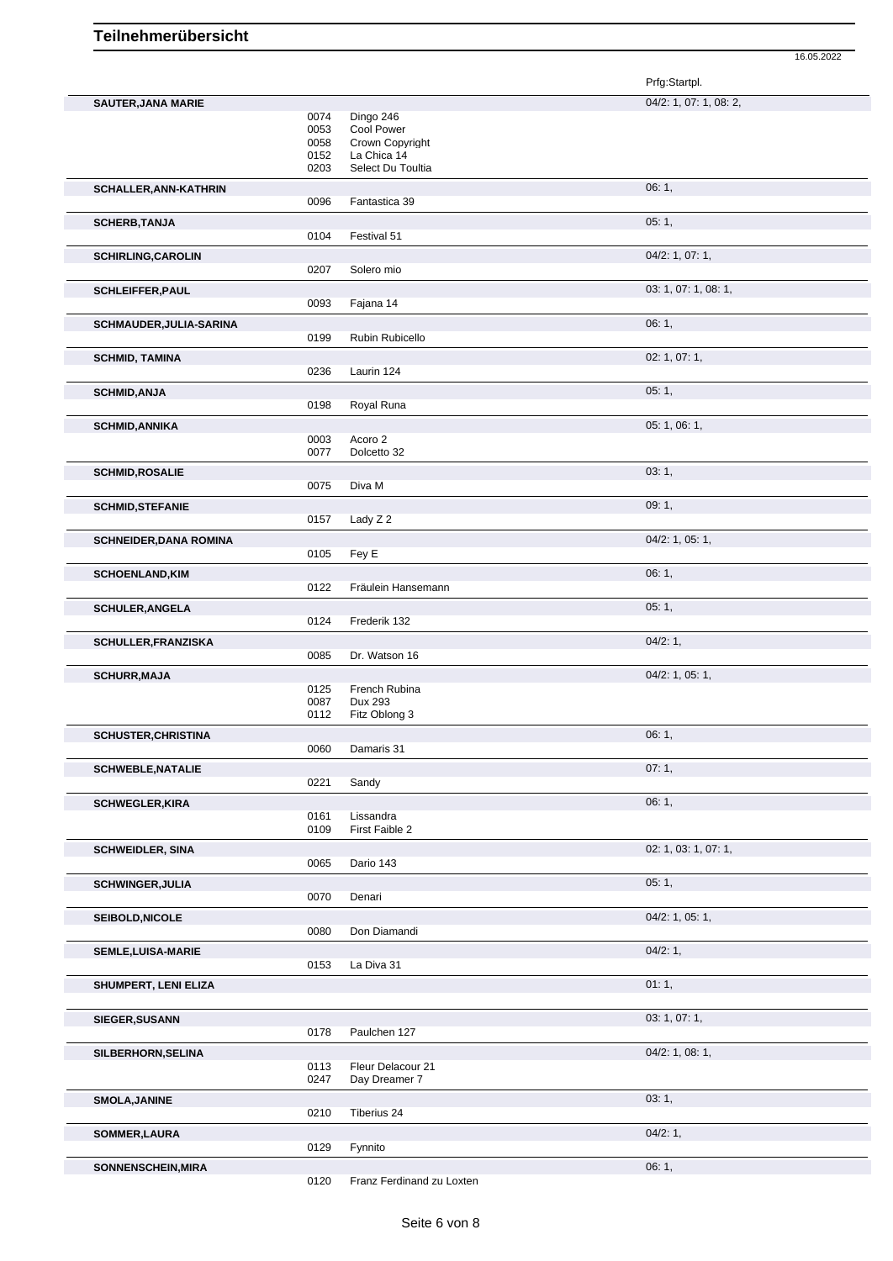16.05.2022

|                               |                              |                                                           | Prfg:Startpl.          |
|-------------------------------|------------------------------|-----------------------------------------------------------|------------------------|
| <b>SAUTER, JANA MARIE</b>     | 0074<br>0053<br>0058<br>0152 | Dingo 246<br>Cool Power<br>Crown Copyright<br>La Chica 14 | 04/2: 1, 07: 1, 08: 2, |
| <b>SCHALLER, ANN-KATHRIN</b>  | 0203<br>0096                 | Select Du Toultia<br>Fantastica 39                        | 06:1,                  |
| <b>SCHERB, TANJA</b>          | 0104                         | Festival 51                                               | 05:1,                  |
| <b>SCHIRLING, CAROLIN</b>     | 0207                         | Solero mio                                                | 04/2: 1, 07: 1,        |
| <b>SCHLEIFFER, PAUL</b>       | 0093                         | Fajana 14                                                 | 03: 1, 07: 1, 08: 1,   |
| SCHMAUDER, JULIA-SARINA       | 0199                         | Rubin Rubicello                                           | 06:1,                  |
| <b>SCHMID, TAMINA</b>         | 0236                         | Laurin 124                                                | 02: 1, 07: 1,          |
| <b>SCHMID, ANJA</b>           | 0198                         | Royal Runa                                                | 05:1,                  |
| <b>SCHMID, ANNIKA</b>         | 0003<br>0077                 | Acoro 2<br>Dolcetto 32                                    | 05: 1, 06: 1,          |
| <b>SCHMID, ROSALIE</b>        | 0075                         | Diva M                                                    | 03:1,                  |
| <b>SCHMID, STEFANIE</b>       | 0157                         | Lady Z 2                                                  | 09:1,                  |
| <b>SCHNEIDER, DANA ROMINA</b> | 0105                         | Fey E                                                     | 04/2: 1, 05: 1,        |
| <b>SCHOENLAND, KIM</b>        | 0122                         | Fräulein Hansemann                                        | 06:1,                  |
| <b>SCHULER, ANGELA</b>        | 0124                         | Frederik 132                                              | 05:1,                  |
| SCHULLER, FRANZISKA           | 0085                         | Dr. Watson 16                                             | 04/2:1,                |
| <b>SCHURR, MAJA</b>           | 0125<br>0087<br>0112         | French Rubina<br>Dux 293<br>Fitz Oblong 3                 | $04/2$ : 1, 05: 1,     |
| <b>SCHUSTER, CHRISTINA</b>    | 0060                         | Damaris 31                                                | 06:1,                  |
| <b>SCHWEBLE, NATALIE</b>      | 0221                         | Sandy                                                     | 07:1,                  |
| <b>SCHWEGLER, KIRA</b>        | 0161<br>0109                 | Lissandra<br>First Faible 2                               | 06:1,                  |
| <b>SCHWEIDLER, SINA</b>       | 0065                         | Dario 143                                                 | 02: 1, 03: 1, 07: 1,   |
| <b>SCHWINGER, JULIA</b>       | 0070                         | Denari                                                    | 05:1,                  |
| <b>SEIBOLD, NICOLE</b>        | 0080                         | Don Diamandi                                              | $04/2$ : 1, 05: 1,     |
| SEMLE, LUISA-MARIE            | 0153                         | La Diva 31                                                | 04/2:1,                |
| SHUMPERT, LENI ELIZA          |                              |                                                           | 01:1,                  |
| <b>SIEGER, SUSANN</b>         | 0178                         | Paulchen 127                                              | 03: 1, 07: 1,          |
| SILBERHORN, SELINA            | 0113<br>0247                 | Fleur Delacour 21<br>Day Dreamer 7                        | $04/2$ : 1, 08: 1,     |
| <b>SMOLA, JANINE</b>          | 0210                         | Tiberius 24                                               | 03:1,                  |
| SOMMER, LAURA                 | 0129                         | Fynnito                                                   | 04/2:1,                |
| SONNENSCHEIN, MIRA            | 0120                         | Franz Ferdinand zu Loxten                                 | 06:1,                  |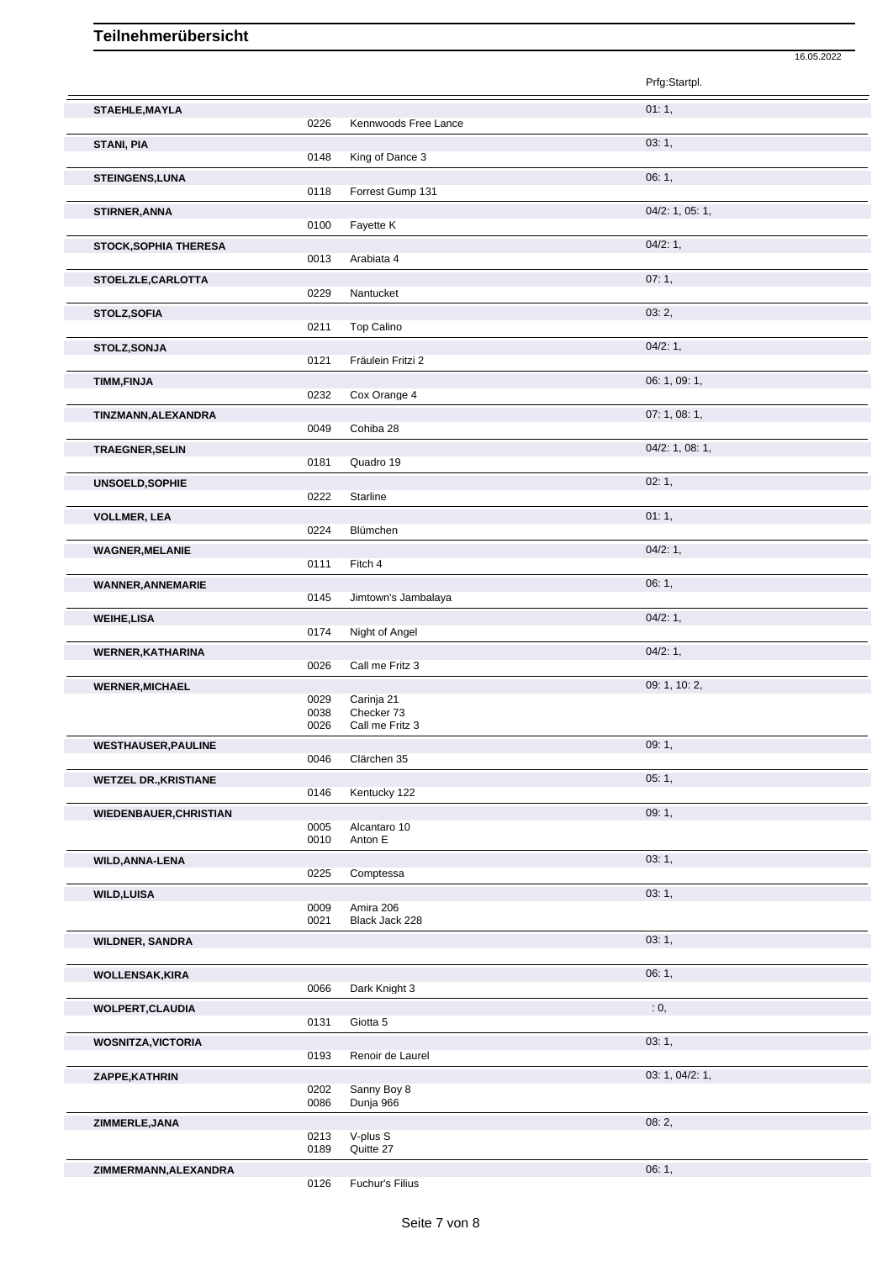|                               |              |                               | Prfg:Startpl.   |
|-------------------------------|--------------|-------------------------------|-----------------|
| STAEHLE, MAYLA                |              |                               | 01:1,           |
|                               | 0226         | Kennwoods Free Lance          |                 |
| <b>STANI, PIA</b>             | 0148         | King of Dance 3               | 03:1,           |
| <b>STEINGENS, LUNA</b>        | 0118         | Forrest Gump 131              | 06:1,           |
| STIRNER, ANNA                 |              |                               | 04/2: 1, 05: 1, |
|                               | 0100         | Fayette K                     |                 |
| STOCK, SOPHIA THERESA         | 0013         | Arabiata 4                    | 04/2:1,         |
| STOELZLE, CARLOTTA            |              |                               | 07:1,           |
|                               | 0229         | Nantucket                     |                 |
| STOLZ, SOFIA                  | 0211         | <b>Top Calino</b>             | 03:2,           |
| STOLZ, SONJA                  |              |                               | 04/2:1,         |
|                               | 0121         | Fräulein Fritzi 2             |                 |
| <b>TIMM,FINJA</b>             | 0232         | Cox Orange 4                  | 06: 1, 09: 1,   |
| TINZMANN, ALEXANDRA           |              |                               | 07:1,08:1,      |
|                               | 0049         | Cohiba 28                     |                 |
| <b>TRAEGNER, SELIN</b>        | 0181         | Quadro 19                     | 04/2: 1, 08: 1, |
| <b>UNSOELD, SOPHIE</b>        |              |                               | 02:1,           |
|                               | 0222         | Starline                      |                 |
| <b>VOLLMER, LEA</b>           | 0224         | Blümchen                      | 01:1,           |
| <b>WAGNER, MELANIE</b>        |              |                               | 04/2:1,         |
|                               | 0111         | Fitch 4                       |                 |
| <b>WANNER, ANNEMARIE</b>      | 0145         |                               | 06:1,           |
| <b>WEIHE,LISA</b>             |              | Jimtown's Jambalaya           | 04/2:1,         |
|                               | 0174         | Night of Angel                |                 |
| <b>WERNER, KATHARINA</b>      |              |                               | 04/2:1,         |
|                               | 0026         | Call me Fritz 3               | 09: 1, 10: 2,   |
| <b>WERNER, MICHAEL</b>        | 0029         | Carinja 21                    |                 |
|                               | 0038<br>0026 | Checker 73<br>Call me Fritz 3 |                 |
| <b>WESTHAUSER, PAULINE</b>    |              |                               | 09:1,           |
|                               | 0046         | Clärchen 35                   |                 |
| <b>WETZEL DR., KRISTIANE</b>  | 0146         | Kentucky 122                  | 05:1,           |
| <b>WIEDENBAUER, CHRISTIAN</b> |              |                               | 09:1,           |
|                               | 0005<br>0010 | Alcantaro 10<br>Anton E       |                 |
| WILD, ANNA-LENA               |              |                               | 03:1,           |
|                               | 0225         | Comptessa                     |                 |
| <b>WILD, LUISA</b>            | 0009         | Amira 206                     | 03:1,           |
|                               | 0021         | Black Jack 228                |                 |
| <b>WILDNER, SANDRA</b>        |              |                               | 03:1,           |
| <b>WOLLENSAK, KIRA</b>        |              |                               | 06:1,           |
|                               | 0066         | Dark Knight 3                 |                 |
| <b>WOLPERT, CLAUDIA</b>       | 0131         | Giotta 5                      | : 0,            |
| <b>WOSNITZA, VICTORIA</b>     |              |                               | 03:1,           |
|                               | 0193         | Renoir de Laurel              |                 |
| ZAPPE, KATHRIN                | 0202         | Sanny Boy 8                   | 03: 1, 04/2: 1, |
|                               | 0086         | Dunja 966                     |                 |
| ZIMMERLE, JANA                |              |                               | 08:2,           |
|                               | 0213<br>0189 | V-plus S<br>Quitte 27         |                 |
| ZIMMERMANN, ALEXANDRA         |              |                               | 06:1,           |
|                               | 0126         | Fuchur's Filius               |                 |

16.05.2022